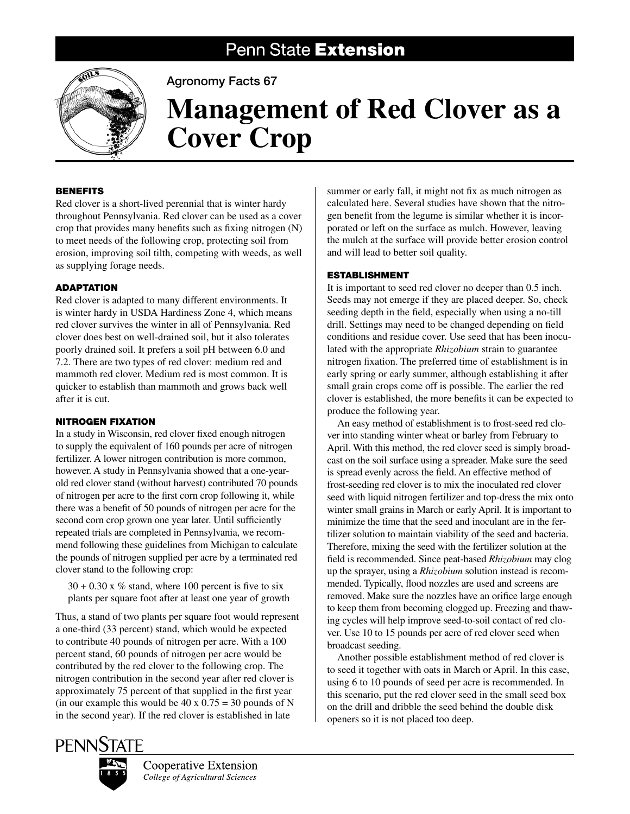# Penn State Extension



Agronomy Facts 67

# **Management of Red Clover as a Cover Crop**

## **BENEFITS**

Red clover is a short-lived perennial that is winter hardy throughout Pennsylvania. Red clover can be used as a cover crop that provides many benefits such as fixing nitrogen (N) to meet needs of the following crop, protecting soil from erosion, improving soil tilth, competing with weeds, as well as supplying forage needs.

# **ADAPTATION**

Red clover is adapted to many different environments. It is winter hardy in USDA Hardiness Zone 4, which means red clover survives the winter in all of Pennsylvania. Red clover does best on well-drained soil, but it also tolerates poorly drained soil. It prefers a soil pH between 6.0 and 7.2. There are two types of red clover: medium red and mammoth red clover. Medium red is most common. It is quicker to establish than mammoth and grows back well after it is cut.

### Nitrogen Fixation

In a study in Wisconsin, red clover fixed enough nitrogen to supply the equivalent of 160 pounds per acre of nitrogen fertilizer. A lower nitrogen contribution is more common, however. A study in Pennsylvania showed that a one-yearold red clover stand (without harvest) contributed 70 pounds of nitrogen per acre to the first corn crop following it, while there was a benefit of 50 pounds of nitrogen per acre for the second corn crop grown one year later. Until sufficiently repeated trials are completed in Pennsylvania, we recommend following these guidelines from Michigan to calculate the pounds of nitrogen supplied per acre by a terminated red clover stand to the following crop:

 $30 + 0.30$  x % stand, where 100 percent is five to six plants per square foot after at least one year of growth

Thus, a stand of two plants per square foot would represent a one-third (33 percent) stand, which would be expected to contribute 40 pounds of nitrogen per acre. With a 100 percent stand, 60 pounds of nitrogen per acre would be contributed by the red clover to the following crop. The nitrogen contribution in the second year after red clover is approximately 75 percent of that supplied in the first year (in our example this would be 40 x  $0.75 = 30$  pounds of N in the second year). If the red clover is established in late

summer or early fall, it might not fix as much nitrogen as calculated here. Several studies have shown that the nitrogen benefit from the legume is similar whether it is incorporated or left on the surface as mulch. However, leaving the mulch at the surface will provide better erosion control and will lead to better soil quality.

# **ESTABLISHMENT**

It is important to seed red clover no deeper than 0.5 inch. Seeds may not emerge if they are placed deeper. So, check seeding depth in the field, especially when using a no-till drill. Settings may need to be changed depending on field conditions and residue cover. Use seed that has been inoculated with the appropriate *Rhizobium* strain to guarantee nitrogen fixation. The preferred time of establishment is in early spring or early summer, although establishing it after small grain crops come off is possible. The earlier the red clover is established, the more benefits it can be expected to produce the following year.

An easy method of establishment is to frost-seed red clover into standing winter wheat or barley from February to April. With this method, the red clover seed is simply broadcast on the soil surface using a spreader. Make sure the seed is spread evenly across the field. An effective method of frost-seeding red clover is to mix the inoculated red clover seed with liquid nitrogen fertilizer and top-dress the mix onto winter small grains in March or early April. It is important to minimize the time that the seed and inoculant are in the fertilizer solution to maintain viability of the seed and bacteria. Therefore, mixing the seed with the fertilizer solution at the field is recommended. Since peat-based *Rhizobium* may clog up the sprayer, using a *Rhizobium* solution instead is recommended. Typically, flood nozzles are used and screens are removed. Make sure the nozzles have an orifice large enough to keep them from becoming clogged up. Freezing and thawing cycles will help improve seed-to-soil contact of red clover. Use 10 to 15 pounds per acre of red clover seed when broadcast seeding.

Another possible establishment method of red clover is to seed it together with oats in March or April. In this case, using 6 to 10 pounds of seed per acre is recommended. In this scenario, put the red clover seed in the small seed box on the drill and dribble the seed behind the double disk openers so it is not placed too deep.





Cooperative Extension College of Agricultural Sciences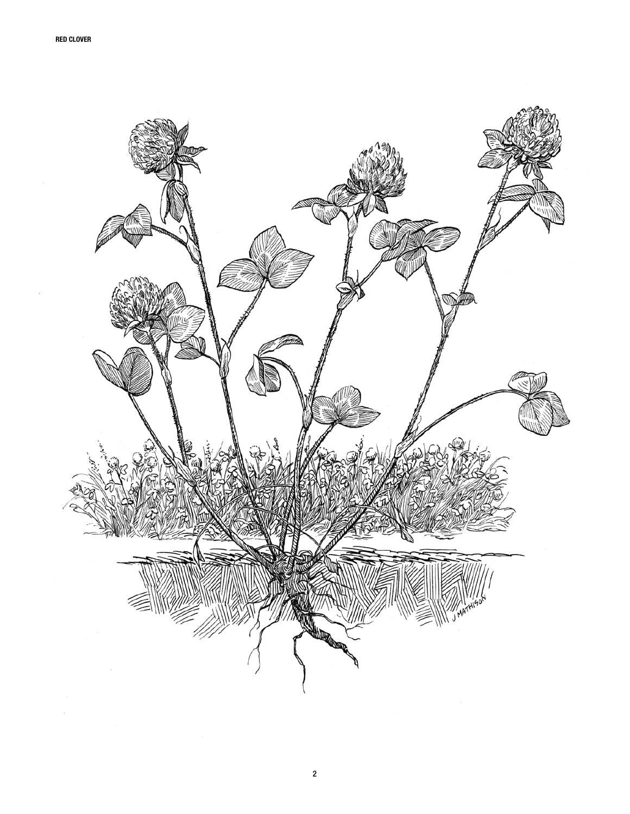

2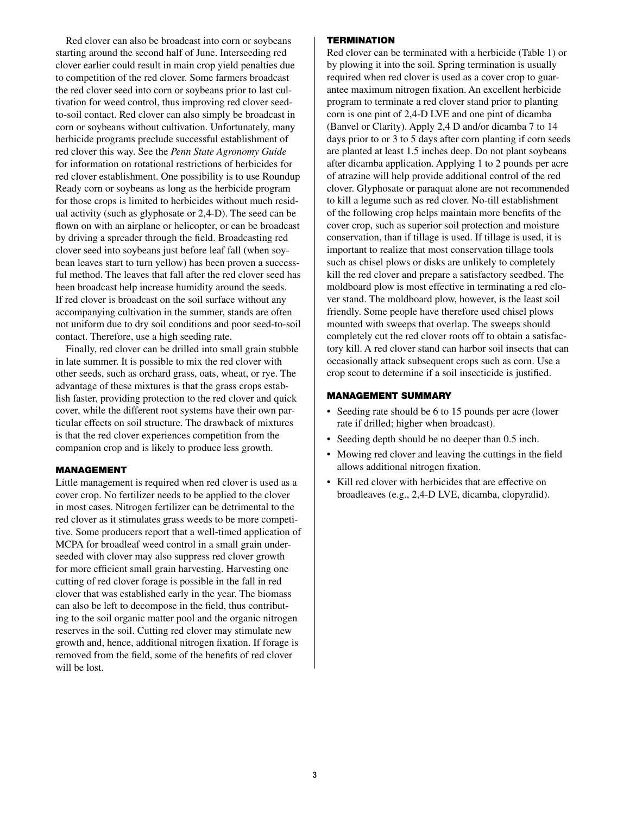Red clover can also be broadcast into corn or soybeans starting around the second half of June. Interseeding red clover earlier could result in main crop yield penalties due to competition of the red clover. Some farmers broadcast the red clover seed into corn or soybeans prior to last cultivation for weed control, thus improving red clover seedto-soil contact. Red clover can also simply be broadcast in corn or soybeans without cultivation. Unfortunately, many herbicide programs preclude successful establishment of red clover this way. See the *Penn State Agronomy Guide* for information on rotational restrictions of herbicides for red clover establishment. One possibility is to use Roundup Ready corn or soybeans as long as the herbicide program for those crops is limited to herbicides without much residual activity (such as glyphosate or 2,4-D). The seed can be flown on with an airplane or helicopter, or can be broadcast by driving a spreader through the field. Broadcasting red clover seed into soybeans just before leaf fall (when soybean leaves start to turn yellow) has been proven a successful method. The leaves that fall after the red clover seed has been broadcast help increase humidity around the seeds. If red clover is broadcast on the soil surface without any accompanying cultivation in the summer, stands are often not uniform due to dry soil conditions and poor seed-to-soil contact. Therefore, use a high seeding rate.

Finally, red clover can be drilled into small grain stubble in late summer. It is possible to mix the red clover with other seeds, such as orchard grass, oats, wheat, or rye. The advantage of these mixtures is that the grass crops establish faster, providing protection to the red clover and quick cover, while the different root systems have their own particular effects on soil structure. The drawback of mixtures is that the red clover experiences competition from the companion crop and is likely to produce less growth.

#### Management

Little management is required when red clover is used as a cover crop. No fertilizer needs to be applied to the clover in most cases. Nitrogen fertilizer can be detrimental to the red clover as it stimulates grass weeds to be more competitive. Some producers report that a well-timed application of MCPA for broadleaf weed control in a small grain underseeded with clover may also suppress red clover growth for more efficient small grain harvesting. Harvesting one cutting of red clover forage is possible in the fall in red clover that was established early in the year. The biomass can also be left to decompose in the field, thus contributing to the soil organic matter pool and the organic nitrogen reserves in the soil. Cutting red clover may stimulate new growth and, hence, additional nitrogen fixation. If forage is removed from the field, some of the benefits of red clover will be lost.

#### **TERMINATION**

Red clover can be terminated with a herbicide (Table 1) or by plowing it into the soil. Spring termination is usually required when red clover is used as a cover crop to guarantee maximum nitrogen fixation. An excellent herbicide program to terminate a red clover stand prior to planting corn is one pint of 2,4-D LVE and one pint of dicamba (Banvel or Clarity). Apply 2,4 D and/or dicamba 7 to 14 days prior to or 3 to 5 days after corn planting if corn seeds are planted at least 1.5 inches deep. Do not plant soybeans after dicamba application. Applying 1 to 2 pounds per acre of atrazine will help provide additional control of the red clover. Glyphosate or paraquat alone are not recommended to kill a legume such as red clover. No-till establishment of the following crop helps maintain more benefits of the cover crop, such as superior soil protection and moisture conservation, than if tillage is used. If tillage is used, it is important to realize that most conservation tillage tools such as chisel plows or disks are unlikely to completely kill the red clover and prepare a satisfactory seedbed. The moldboard plow is most effective in terminating a red clover stand. The moldboard plow, however, is the least soil friendly. Some people have therefore used chisel plows mounted with sweeps that overlap. The sweeps should completely cut the red clover roots off to obtain a satisfactory kill. A red clover stand can harbor soil insects that can occasionally attack subsequent crops such as corn. Use a crop scout to determine if a soil insecticide is justified.

#### Management Summary

- Seeding rate should be 6 to 15 pounds per acre (lower rate if drilled; higher when broadcast).
- Seeding depth should be no deeper than 0.5 inch.
- Mowing red clover and leaving the cuttings in the field allows additional nitrogen fixation.
- • Kill red clover with herbicides that are effective on broadleaves (e.g., 2,4-D LVE, dicamba, clopyralid).